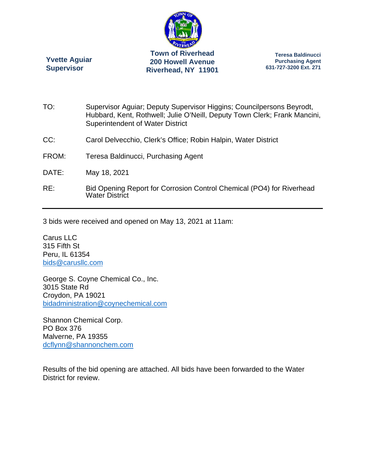

**Yvette Aguiar Supervisor** 

**Teresa Baldinucci Purchasing Agent 631-727-3200 Ext. 271** 

- TO: Supervisor Aguiar; Deputy Supervisor Higgins; Councilpersons Beyrodt, Hubbard, Kent, Rothwell; Julie O'Neill, Deputy Town Clerk; Frank Mancini, Superintendent of Water District
- CC: Carol Delvecchio, Clerk's Office; Robin Halpin, Water District
- FROM: Teresa Baldinucci, Purchasing Agent
- DATE: May 18, 2021
- RE: Bid Opening Report for Corrosion Control Chemical (PO4) for Riverhead Water District

3 bids were received and opened on May 13, 2021 at 11am:

Carus LLC 315 Fifth St Peru, IL 61354 bids@carusllc.com

George S. Coyne Chemical Co., Inc. 3015 State Rd Croydon, PA 19021 bidadministration@coynechemical.com

Shannon Chemical Corp. PO Box 376 Malverne, PA 19355 dcflynn@shannonchem.com

Results of the bid opening are attached. All bids have been forwarded to the Water District for review.